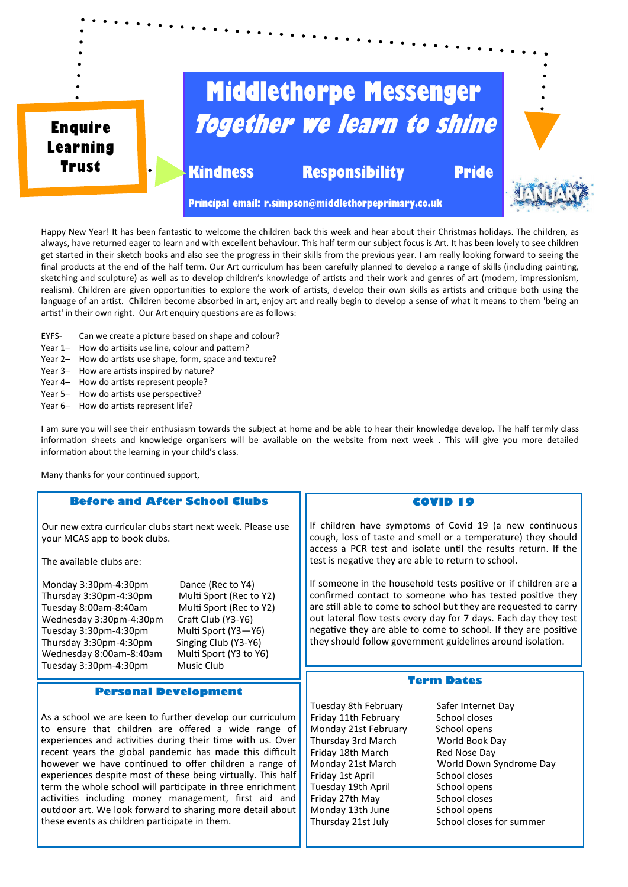

Happy New Year! It has been fantastic to welcome the children back this week and hear about their Christmas holidays. The children, as always, have returned eager to learn and with excellent behaviour. This half term our subject focus is Art. It has been lovely to see children get started in their sketch books and also see the progress in their skills from the previous year. I am really looking forward to seeing the final products at the end of the half term. Our Art curriculum has been carefully planned to develop a range of skills (including painting, sketching and sculpture) as well as to develop children's knowledge of artists and their work and genres of art (modern, impressionism, realism). Children are given opportunities to explore the work of artists, develop their own skills as artists and critique both using the language of an artist. Children become absorbed in art, enjoy art and really begin to develop a sense of what it means to them 'being an artist' in their own right. Our Art enquiry questions are as follows:

EYFS- Can we create a picture based on shape and colour?

- Year 1- How do artisits use line, colour and pattern?
- Year 2– How do artists use shape, form, space and texture?
- Year 3- How are artists inspired by nature?
- Year 4– How do artists represent people?
- Year 5– How do artists use perspective?
- Year 6- How do artists represent life?

I am sure you will see their enthusiasm towards the subject at home and be able to hear their knowledge develop. The half termly class information sheets and knowledge organisers will be available on the website from next week . This will give you more detailed information about the learning in your child's class.

Many thanks for your continued support,

## **Before and After School Clubs**

Our new extra curricular clubs start next week. Please use your MCAS app to book clubs.

The available clubs are:

Monday 3:30pm-4:30pm Dance (Rec to Y4) Thursday 3:30pm-4:30pm Multi Sport (Rec to Y2) Tuesday 8:00am-8:40am Multi Sport (Rec to Y2)<br>Wednesday 3:30pm-4:30pm Craft Club (Y3-Y6) Wednesday 3:30pm-4:30pm Tuesday 3:30pm-4:30pm Multi Sport (Y3-Y6)<br>Thursday 3:30pm-4:30pm Singing Club (Y3-Y6) Thursday 3:30pm-4:30pm Singing Club (Y3-Y6) Wednesday  $8:00$ am- $8:40$ am Tuesday 3:30pm-4:30pm Music Club

## **Personal Development**

As a school we are keen to further develop our curriculum to ensure that children are offered a wide range of experiences and activities during their time with us. Over recent years the global pandemic has made this difficult however we have continued to offer children a range of experiences despite most of these being virtually. This half term the whole school will participate in three enrichment activities including money management, first aid and outdoor art. We look forward to sharing more detail about these events as children participate in them.

## **COVID 19**

If children have symptoms of Covid 19 (a new continuous cough, loss of taste and smell or a temperature) they should access a PCR test and isolate until the results return. If the test is negative they are able to return to school.

If someone in the household tests positive or if children are a confirmed contact to someone who has tested positive they are still able to come to school but they are requested to carry out lateral flow tests every day for 7 days. Each day they test negative they are able to come to school. If they are positive they should follow government guidelines around isolation.

## **Term Dates**

Tuesday 8th February Safer Internet Day Friday 11th February School closes Monday 21st February School opens Thursday 3rd March World Book Day Friday 18th March Red Nose Day Friday 1st April School closes Tuesday 19th April School opens Friday 27th May School closes Monday 13th June School opens

Monday 21st March World Down Syndrome Day Thursday 21st July School closes for summer